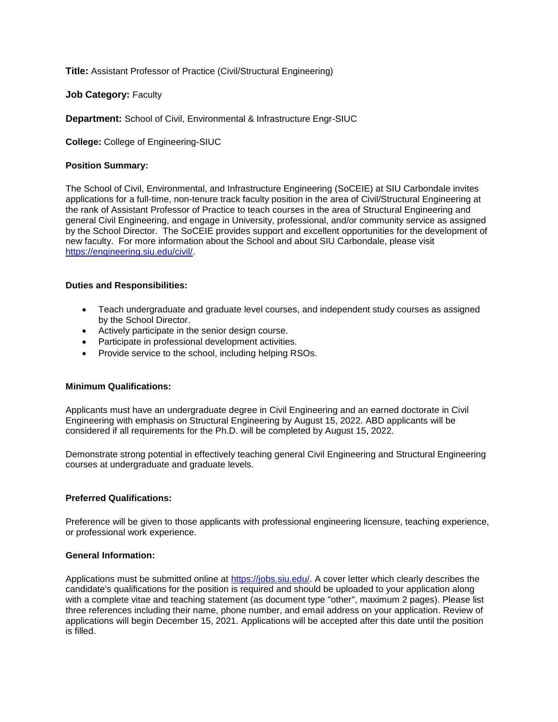**Title:** Assistant Professor of Practice (Civil/Structural Engineering)

**Job Category: Faculty** 

**Department:** School of Civil, Environmental & Infrastructure Engr-SIUC

**College:** College of Engineering-SIUC

# **Position Summary:**

The School of Civil, Environmental, and Infrastructure Engineering (SoCEIE) at SIU Carbondale invites applications for a full-time, non-tenure track faculty position in the area of Civil/Structural Engineering at the rank of Assistant Professor of Practice to teach courses in the area of Structural Engineering and general Civil Engineering, and engage in University, professional, and/or community service as assigned by the School Director. The SoCEIE provides support and excellent opportunities for the development of new faculty. For more information about the School and about SIU Carbondale, please visit [https://engineering.siu.edu/civil/.](https://nam11.safelinks.protection.outlook.com/?url=http%3A%2F%2Femail.hiretouch.com%2Fls%2Fclick%3Fupn%3D9qMFqK5puEd81iNElG7AoMAnW7HMMMJXl8bAaP6vVpEqwzBueholkFl9p1fE-2Fxx0w1pc_W2tNWUScVbXmCjXbY-2FN1P7Kz-2F2q4Ys-2Bo2wByseq9UZdq5ALVxWEZoYYaK3TRb3IeJDsPNbNgKjz77HlldZDALG6cBrkq-2FuSdhaK0ouVKECFUuXJ9fj3eshUQ-2B6hWExOENDQGpeTgsjt-2FxcegDWXcXBRPOybF2iOS3zFhRjw9DAy7sztg9vlpVoMWA4eF9icZTRORB0LSs8IN-2FZBpaaPQmUqkIfpnwm4UIRvwsY68728e9BvuQ3SxfFKmrGZE1HjcfIejnv28ZFHSpV3aTyGhiX6Z-2FnM-2BPxYDh7iyp7Iv-2FQdtdpL2g8R4Op-2BIwGjCSrze&data=04%7C01%7Cjlangin%40siu.edu%7C0156b5c1f0e3495b386208d99fbafe06%7Cd57a98e7744d43f9bc9108de1ff3710d%7C0%7C0%7C637716447744573201%7CUnknown%7CTWFpbGZsb3d8eyJWIjoiMC4wLjAwMDAiLCJQIjoiV2luMzIiLCJBTiI6Ik1haWwiLCJXVCI6Mn0%3D%7C1000&sdata=3ND%2FR%2BcJSgsEumHzLpVPiwJlZYz5vqffZAnYuhk1umk%3D&reserved=0)

# **Duties and Responsibilities:**

- Teach undergraduate and graduate level courses, and independent study courses as assigned by the School Director.
- Actively participate in the senior design course.
- Participate in professional development activities.
- Provide service to the school, including helping RSOs.

# **Minimum Qualifications:**

Applicants must have an undergraduate degree in Civil Engineering and an earned doctorate in Civil Engineering with emphasis on Structural Engineering by August 15, 2022. ABD applicants will be considered if all requirements for the Ph.D. will be completed by August 15, 2022.

Demonstrate strong potential in effectively teaching general Civil Engineering and Structural Engineering courses at undergraduate and graduate levels.

# **Preferred Qualifications:**

Preference will be given to those applicants with professional engineering licensure, teaching experience, or professional work experience.

# **General Information:**

Applications must be submitted online at [https://jobs.siu.edu/.](https://jobs.siu.edu/) A cover letter which clearly describes the candidate's qualifications for the position is required and should be uploaded to your application along with a complete vitae and teaching statement (as document type "other", maximum 2 pages). Please list three references including their name, phone number, and email address on your application. Review of applications will begin December 15, 2021. Applications will be accepted after this date until the position is filled.